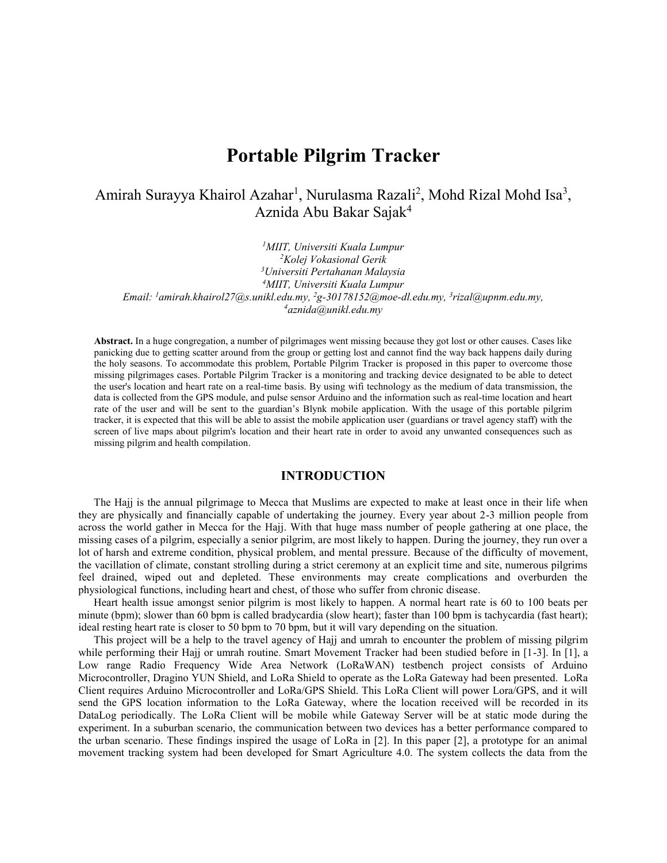# **Portable Pilgrim Tracker**

Amirah Surayya Khairol Azahar<sup>1</sup>, Nurulasma Razali<sup>2</sup>, Mohd Rizal Mohd Isa<sup>3</sup>, Aznida Abu Bakar Sajak<sup>4</sup>

*MIIT, Universiti Kuala Lumpur Kolej Vokasional Gerik Universiti Pertahanan Malaysia MIIT, Universiti Kuala Lumpur Email: <sup>1</sup>amirah.khairol27@s.unikl.edu.my, <sup>2</sup>g-30178152@moe-dl.edu.my, 3 rizal@upnm.edu.my, aznida@unikl.edu.my*

**Abstract.** In a huge congregation, a number of pilgrimages went missing because they got lost or other causes. Cases like panicking due to getting scatter around from the group or getting lost and cannot find the way back happens daily during the holy seasons. To accommodate this problem, Portable Pilgrim Tracker is proposed in this paper to overcome those missing pilgrimages cases. Portable Pilgrim Tracker is a monitoring and tracking device designated to be able to detect the user's location and heart rate on a real-time basis. By using wifi technology as the medium of data transmission, the data is collected from the GPS module, and pulse sensor Arduino and the information such as real-time location and heart rate of the user and will be sent to the guardian's Blynk mobile application. With the usage of this portable pilgrim tracker, it is expected that this will be able to assist the mobile application user (guardians or travel agency staff) with the screen of live maps about pilgrim's location and their heart rate in order to avoid any unwanted consequences such as missing pilgrim and health compilation.

# **INTRODUCTION**

The Hajj is the annual pilgrimage to Mecca that Muslims are expected to make at least once in their life when they are physically and financially capable of undertaking the journey. Every year about 2-3 million people from across the world gather in Mecca for the Hajj. With that huge mass number of people gathering at one place, the missing cases of a pilgrim, especially a senior pilgrim, are most likely to happen. During the journey, they run over a lot of harsh and extreme condition, physical problem, and mental pressure. Because of the difficulty of movement, the vacillation of climate, constant strolling during a strict ceremony at an explicit time and site, numerous pilgrims feel drained, wiped out and depleted. These environments may create complications and overburden the physiological functions, including heart and chest, of those who suffer from chronic disease.

Heart health issue amongst senior pilgrim is most likely to happen. A normal heart rate is 60 to 100 beats per minute (bpm); slower than 60 bpm is called bradycardia (slow heart); faster than 100 bpm is tachycardia (fast heart); ideal resting heart rate is closer to 50 bpm to 70 bpm, but it will vary depending on the situation.

This project will be a help to the travel agency of Hajj and umrah to encounter the problem of missing pilgrim while performing their Hajj or umrah routine. Smart Movement Tracker had been studied before in [1-3]. In [1], a Low range Radio Frequency Wide Area Network (LoRaWAN) testbench project consists of Arduino Microcontroller, Dragino YUN Shield, and LoRa Shield to operate as the LoRa Gateway had been presented. LoRa Client requires Arduino Microcontroller and LoRa/GPS Shield. This LoRa Client will power Lora/GPS, and it will send the GPS location information to the LoRa Gateway, where the location received will be recorded in its DataLog periodically. The LoRa Client will be mobile while Gateway Server will be at static mode during the experiment. In a suburban scenario, the communication between two devices has a better performance compared to the urban scenario. These findings inspired the usage of LoRa in [2]. In this paper [2], a prototype for an animal movement tracking system had been developed for Smart Agriculture 4.0. The system collects the data from the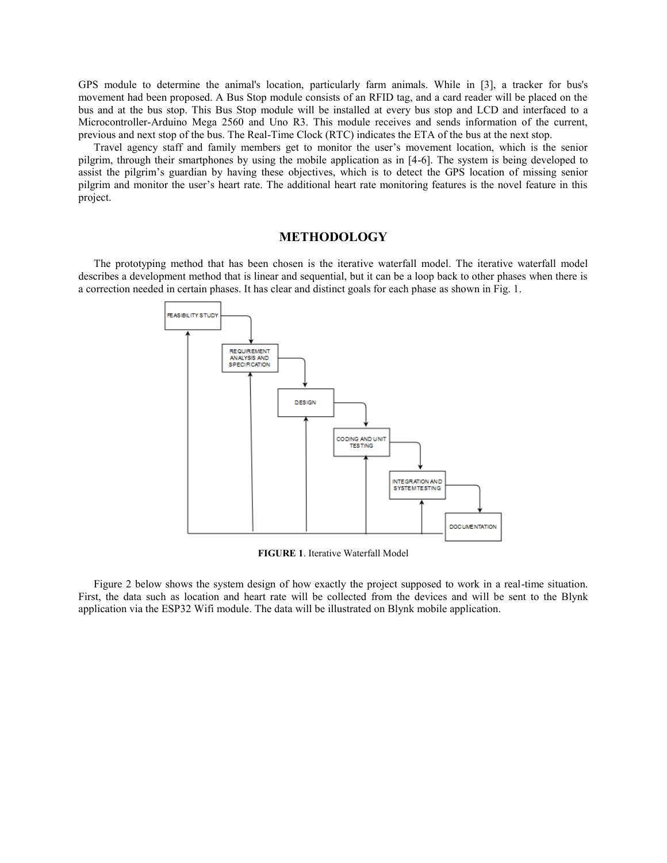GPS module to determine the animal's location, particularly farm animals. While in [3], a tracker for bus's movement had been proposed. A Bus Stop module consists of an RFID tag, and a card reader will be placed on the bus and at the bus stop. This Bus Stop module will be installed at every bus stop and LCD and interfaced to a Microcontroller-Arduino Mega 2560 and Uno R3. This module receives and sends information of the current, previous and next stop of the bus. The Real-Time Clock (RTC) indicates the ETA of the bus at the next stop.

Travel agency staff and family members get to monitor the user's movement location, which is the senior pilgrim, through their smartphones by using the mobile application as in [4-6]. The system is being developed to assist the pilgrim's guardian by having these objectives, which is to detect the GPS location of missing senior pilgrim and monitor the user's heart rate. The additional heart rate monitoring features is the novel feature in this project.

#### **METHODOLOGY**

The prototyping method that has been chosen is the iterative waterfall model. The iterative waterfall model describes a development method that is linear and sequential, but it can be a loop back to other phases when there is a correction needed in certain phases. It has clear and distinct goals for each phase as shown in Fig. 1.



**FIGURE 1**. Iterative Waterfall Model

Figure 2 below shows the system design of how exactly the project supposed to work in a real-time situation. First, the data such as location and heart rate will be collected from the devices and will be sent to the Blynk application via the ESP32 Wifi module. The data will be illustrated on Blynk mobile application.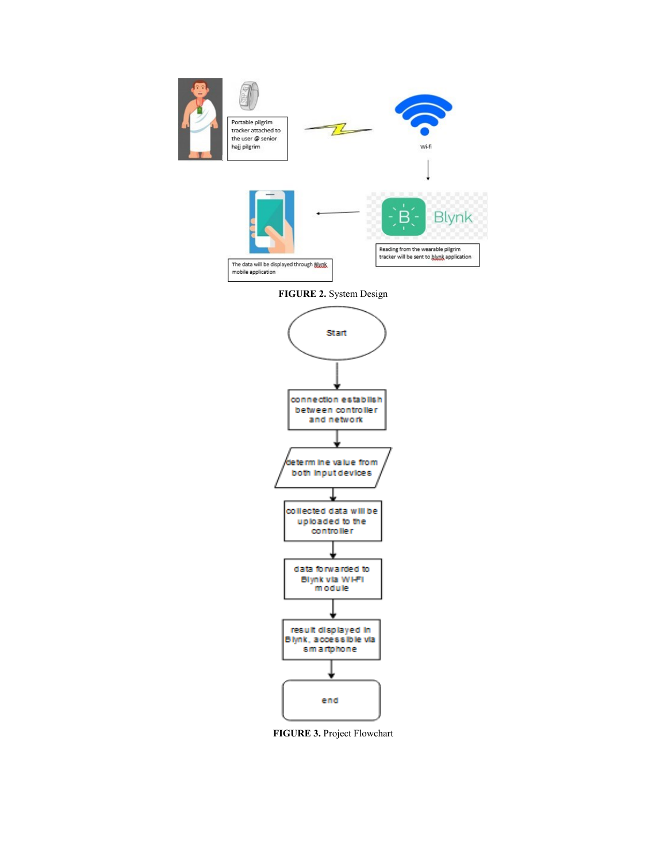

**FIGURE 2.** System Design



**FIGURE 3.** Project Flowchart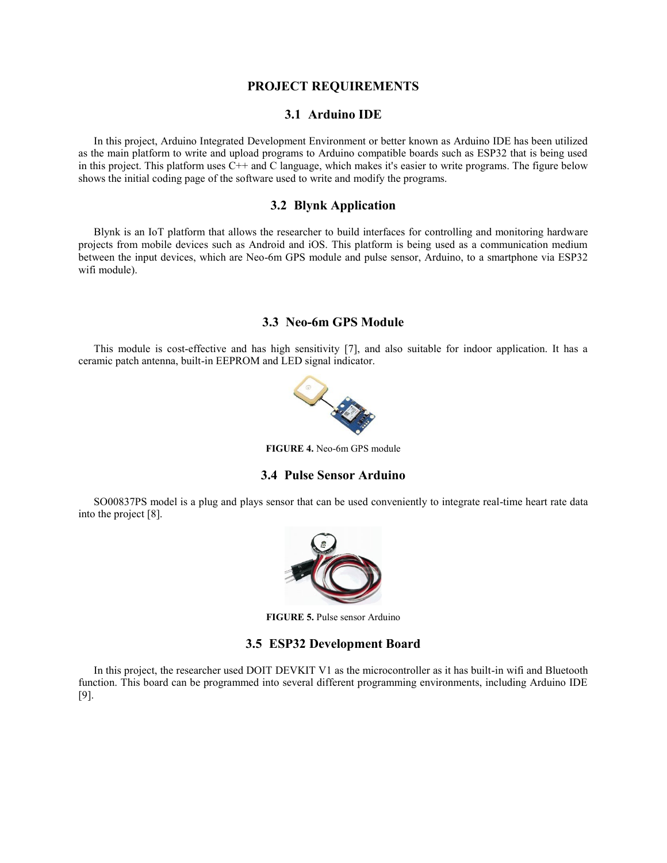#### **PROJECT REQUIREMENTS**

# **3.1 Arduino IDE**

In this project, Arduino Integrated Development Environment or better known as Arduino IDE has been utilized as the main platform to write and upload programs to Arduino compatible boards such as ESP32 that is being used in this project. This platform uses C++ and C language, which makes it's easier to write programs. The figure below shows the initial coding page of the software used to write and modify the programs.

# **3.2 Blynk Application**

Blynk is an IoT platform that allows the researcher to build interfaces for controlling and monitoring hardware projects from mobile devices such as Android and iOS. This platform is being used as a communication medium between the input devices, which are Neo-6m GPS module and pulse sensor, Arduino, to a smartphone via ESP32 wifi module).

#### **3.3 Neo-6m GPS Module**

This module is cost-effective and has high sensitivity [7], and also suitable for indoor application. It has a ceramic patch antenna, built-in EEPROM and LED signal indicator.



**FIGURE 4.** Neo-6m GPS module

#### **3.4 Pulse Sensor Arduino**

SO00837PS model is a plug and plays sensor that can be used conveniently to integrate real-time heart rate data into the project [8].



**FIGURE 5.** Pulse sensor Arduino

#### **3.5 ESP32 Development Board**

In this project, the researcher used DOIT DEVKIT V1 as the microcontroller as it has built-in wifi and Bluetooth function. This board can be programmed into several different programming environments, including Arduino IDE [9].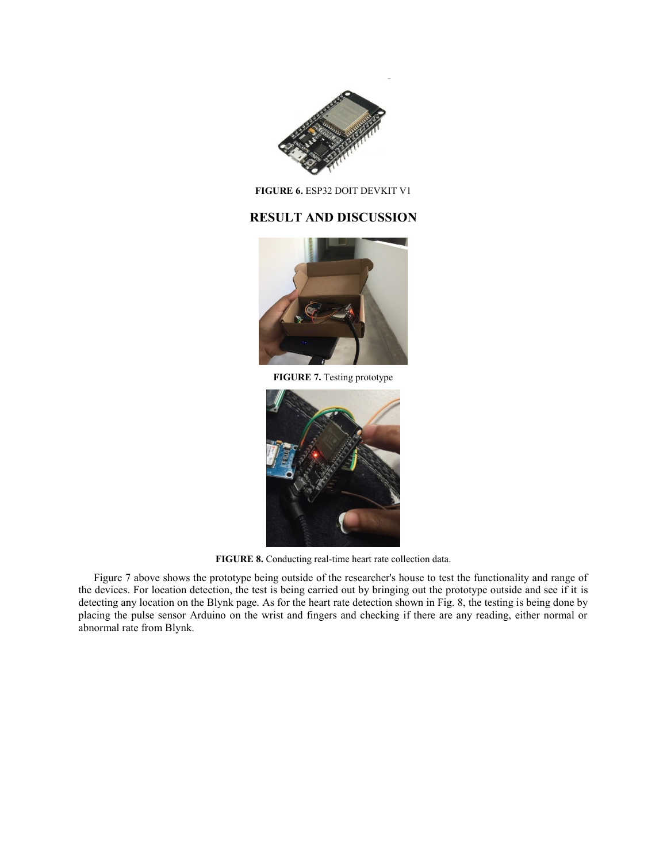

**FIGURE 6.** ESP32 DOIT DEVKIT V1

# **RESULT AND DISCUSSION**



**FIGURE 7.** Testing prototype



**FIGURE 8.** Conducting real-time heart rate collection data.

Figure 7 above shows the prototype being outside of the researcher's house to test the functionality and range of the devices. For location detection, the test is being carried out by bringing out the prototype outside and see if it is detecting any location on the Blynk page. As for the heart rate detection shown in Fig. 8, the testing is being done by placing the pulse sensor Arduino on the wrist and fingers and checking if there are any reading, either normal or abnormal rate from Blynk.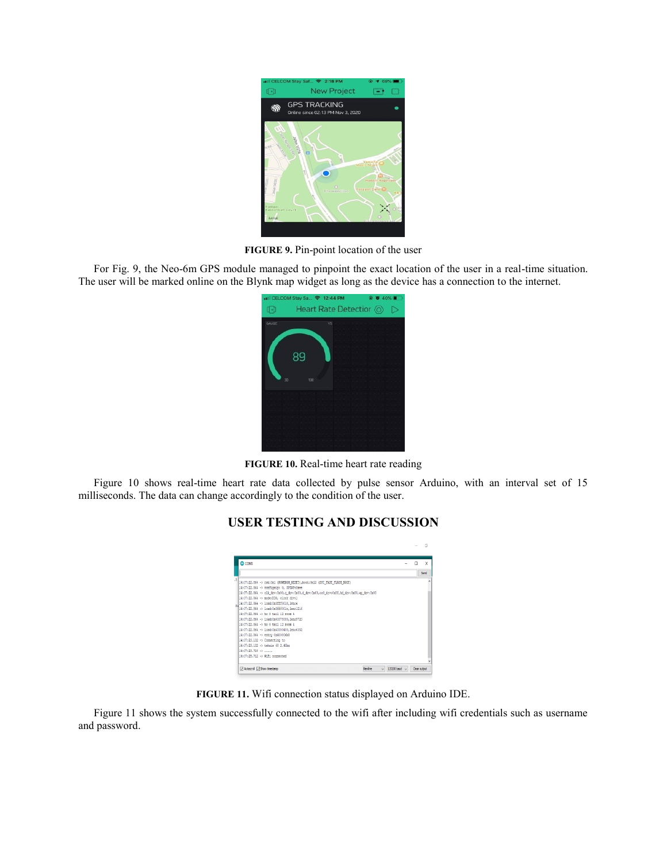

**FIGURE 9.** Pin-point location of the user

For Fig. 9, the Neo-6m GPS module managed to pinpoint the exact location of the user in a real-time situation. The user will be marked online on the Blynk map widget as long as the device has a connection to the internet.

|       | all CELCOM Stay Sa 令 12:44 PM |                          | 40%                                         |
|-------|-------------------------------|--------------------------|---------------------------------------------|
| 旧     |                               | Heart Rate Detectior (O) |                                             |
| GAUGE |                               | V5                       | when the control of the control of the con- |
|       |                               |                          |                                             |
|       |                               |                          |                                             |
|       |                               |                          |                                             |
|       | 89                            |                          |                                             |
|       |                               |                          |                                             |
|       |                               |                          |                                             |
| 30    | 100                           |                          |                                             |
|       |                               |                          |                                             |
|       |                               |                          |                                             |
|       |                               |                          |                                             |
|       |                               |                          |                                             |
|       |                               |                          |                                             |
|       |                               |                          |                                             |
|       |                               |                          |                                             |
|       |                               |                          |                                             |
|       |                               |                          |                                             |

**FIGURE 10.** Real-time heart rate reading

Figure 10 shows real-time heart rate data collected by pulse sensor Arduino, with an interval set of 15 milliseconds. The data can change accordingly to the condition of the user.

# **USER TESTING AND DISCUSSION**

| COMB                                                                                     |  | X    |
|------------------------------------------------------------------------------------------|--|------|
|                                                                                          |  | Send |
| 14:07:22.864 -> rat:0x1 (POWERON RESET), hoot:0x13 (SPI FAST FLASH BOOT)                 |  |      |
| 14:07:22.864 -> configsio: 0. SPIWP:0xee                                                 |  |      |
| (14:07:22.864 -> clk drv:0m00,q drv:0x00,d drv:0x00,cs0 drv:0x00,hd drv:0x00,wp drv:0x00 |  |      |
| 14:07:22.864 -> node:DIO, clock div:1                                                    |  |      |
| 14:07:22.864 -> load:0x3fff0018.len:4                                                    |  |      |
| 14:07:22.864 -> load:0x3fff001c.len:1216                                                 |  |      |
| 14:07:22.864 -> ho 0 tail 12 room 4                                                      |  |      |
| 14:07:22.864 -> load:0x40078000.len:9720                                                 |  |      |
| 14:07:22.864 -> ho 0 tail 12 room 4                                                      |  |      |
| 14:07:22.864 -> load:0x40080400.len:6352                                                 |  |      |
| 14:07:22.864 -> entry 0x400806b8                                                         |  |      |
| 14:07:23.132 -> Connecting to                                                            |  |      |
| 14:07:23.132 -> tehais 68 2.4Ghz                                                         |  |      |
| $14:07:23.718$ $\rightarrow$                                                             |  |      |
| 14:07:25.712 -> WIFI connected                                                           |  |      |

**FIGURE 11.** Wifi connection status displayed on Arduino IDE.

Figure 11 shows the system successfully connected to the wifi after including wifi credentials such as username and password.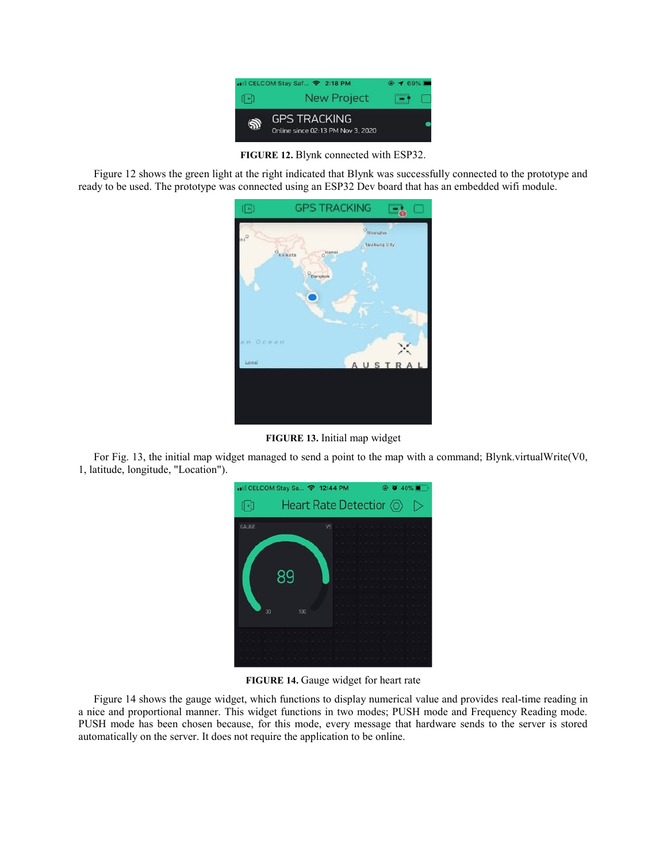

**FIGURE 12.** Blynk connected with ESP32.

Figure 12 shows the green light at the right indicated that Blynk was successfully connected to the prototype and ready to be used. The prototype was connected using an ESP32 Dev board that has an embedded wifi module.



**FIGURE 13.** Initial map widget

For Fig. 13, the initial map widget managed to send a point to the map with a command; Blynk.virtualWrite(V0, 1, latitude, longitude, "Location").

|            | ull CELCOM Stay Sa → 12:44 PM |    | $^{\circ}$ | $\bullet$ 40% $\bullet$ |
|------------|-------------------------------|----|------------|-------------------------|
| $\epsilon$ | Heart Rate Detectior ©        |    |            |                         |
| GAUGE      |                               | V5 |            |                         |
|            |                               |    |            |                         |
|            |                               |    |            |                         |
|            |                               |    |            |                         |
|            |                               |    |            |                         |
|            | xч                            |    |            |                         |
|            |                               |    |            |                         |
|            |                               |    |            |                         |
| 30         | 100                           |    |            |                         |
|            |                               |    |            |                         |
|            |                               |    |            |                         |
|            |                               |    |            |                         |
|            |                               |    |            |                         |
|            |                               |    |            |                         |
|            |                               |    |            |                         |

**FIGURE 14.** Gauge widget for heart rate

Figure 14 shows the gauge widget, which functions to display numerical value and provides real-time reading in a nice and proportional manner. This widget functions in two modes; PUSH mode and Frequency Reading mode. PUSH mode has been chosen because, for this mode, every message that hardware sends to the server is stored automatically on the server. It does not require the application to be online.